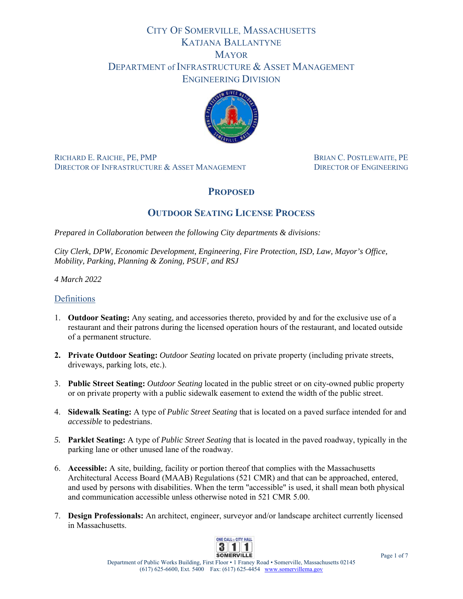# CITY OF SOMERVILLE, MASSACHUSETTS KATJANA BALLANTYNE **MAYOR** DEPARTMENT of INFRASTRUCTURE & ASSET MANAGEMENT ENGINEERING DIVISION



RICHARD E. RAICHE, PE, PMPBRIAN C. POSTLEWAITE, PE DIRECTOR OF INFRASTRUCTURE & ASSET MANAGEMENT DIRECTOR OF ENGINEERING

## **PROPOSED**

## **OUTDOOR SEATING LICENSE PROCESS**

*Prepared in Collaboration between the following City departments & divisions:* 

*City Clerk, DPW, Economic Development, Engineering, Fire Protection, ISD, Law, Mayor's Office, Mobility, Parking, Planning & Zoning, PSUF, and RSJ* 

*4 March 2022* 

## Definitions

- 1. **Outdoor Seating:** Any seating, and accessories thereto, provided by and for the exclusive use of a restaurant and their patrons during the licensed operation hours of the restaurant, and located outside of a permanent structure.
- **2. Private Outdoor Seating:** *Outdoor Seating* located on private property (including private streets, driveways, parking lots, etc.).
- 3. **Public Street Seating:** *Outdoor Seating* located in the public street or on city-owned public property or on private property with a public sidewalk easement to extend the width of the public street.
- 4. **Sidewalk Seating:** A type of *Public Street Seating* that is located on a paved surface intended for and *accessible* to pedestrians.
- *5.* **Parklet Seating:** A type of *Public Street Seating* that is located in the paved roadway, typically in the parking lane or other unused lane of the roadway.
- 6. **Accessible:** A site, building, facility or portion thereof that complies with the Massachusetts Architectural Access Board (MAAB) Regulations (521 CMR) and that can be approached, entered, and used by persons with disabilities. When the term "accessible" is used, it shall mean both physical and communication accessible unless otherwise noted in 521 CMR 5.00.
- 7. **Design Professionals:** An architect, engineer, surveyor and/or landscape architect currently licensed in Massachusetts.

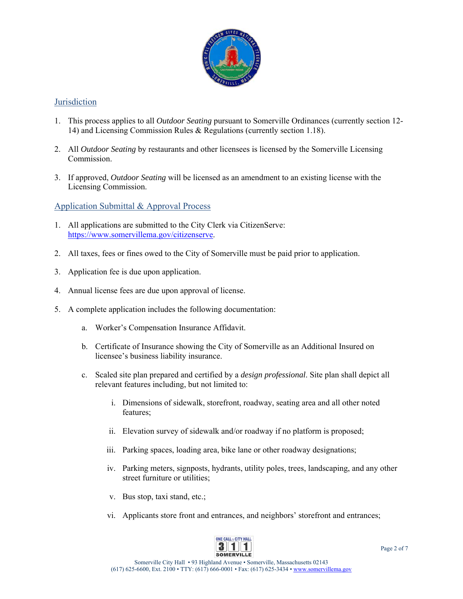

## **Jurisdiction**

- 1. This process applies to all *Outdoor Seating* pursuant to Somerville Ordinances (currently section 12- 14) and Licensing Commission Rules & Regulations (currently section 1.18).
- 2. All *Outdoor Seating* by restaurants and other licensees is licensed by the Somerville Licensing Commission.
- 3. If approved, *Outdoor Seating* will be licensed as an amendment to an existing license with the Licensing Commission.

### Application Submittal & Approval Process

- 1. All applications are submitted to the City Clerk via CitizenServe: https://www.somervillema.gov/citizenserve.
- 2. All taxes, fees or fines owed to the City of Somerville must be paid prior to application.
- 3. Application fee is due upon application.
- 4. Annual license fees are due upon approval of license.
- 5. A complete application includes the following documentation:
	- a. Worker's Compensation Insurance Affidavit.
	- b. Certificate of Insurance showing the City of Somerville as an Additional Insured on licensee's business liability insurance.
	- c. Scaled site plan prepared and certified by a *design professional*. Site plan shall depict all relevant features including, but not limited to:
		- i. Dimensions of sidewalk, storefront, roadway, seating area and all other noted features;
		- ii. Elevation survey of sidewalk and/or roadway if no platform is proposed;
		- iii. Parking spaces, loading area, bike lane or other roadway designations;
		- iv. Parking meters, signposts, hydrants, utility poles, trees, landscaping, and any other street furniture or utilities;
		- v. Bus stop, taxi stand, etc.;
		- vi. Applicants store front and entrances, and neighbors' storefront and entrances;

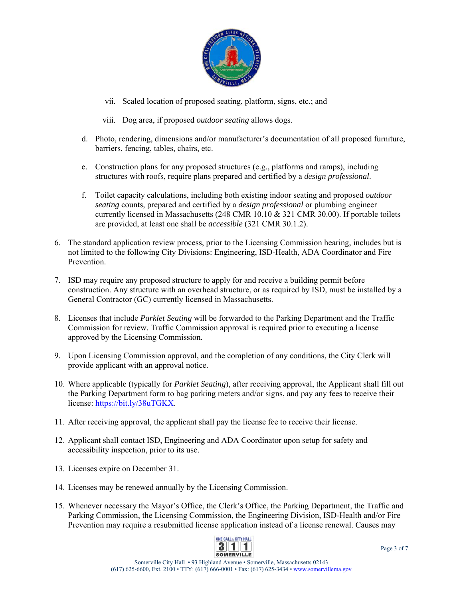

- vii. Scaled location of proposed seating, platform, signs, etc.; and
- viii. Dog area, if proposed *outdoor seating* allows dogs.
- d. Photo, rendering, dimensions and/or manufacturer's documentation of all proposed furniture, barriers, fencing, tables, chairs, etc.
- e. Construction plans for any proposed structures (e.g., platforms and ramps), including structures with roofs, require plans prepared and certified by a *design professional*.
- f. Toilet capacity calculations, including both existing indoor seating and proposed *outdoor seating* counts, prepared and certified by a *design professional* or plumbing engineer currently licensed in Massachusetts (248 CMR 10.10 & 321 CMR 30.00). If portable toilets are provided, at least one shall be *accessible* (321 CMR 30.1.2).
- 6. The standard application review process, prior to the Licensing Commission hearing, includes but is not limited to the following City Divisions: Engineering, ISD-Health, ADA Coordinator and Fire Prevention.
- 7. ISD may require any proposed structure to apply for and receive a building permit before construction. Any structure with an overhead structure, or as required by ISD, must be installed by a General Contractor (GC) currently licensed in Massachusetts.
- 8. Licenses that include *Parklet Seating* will be forwarded to the Parking Department and the Traffic Commission for review. Traffic Commission approval is required prior to executing a license approved by the Licensing Commission.
- 9. Upon Licensing Commission approval, and the completion of any conditions, the City Clerk will provide applicant with an approval notice.
- 10. Where applicable (typically for *Parklet Seating*), after receiving approval, the Applicant shall fill out the Parking Department form to bag parking meters and/or signs, and pay any fees to receive their license: https://bit.ly/38uTGKX.
- 11. After receiving approval, the applicant shall pay the license fee to receive their license.
- 12. Applicant shall contact ISD, Engineering and ADA Coordinator upon setup for safety and accessibility inspection, prior to its use.
- 13. Licenses expire on December 31.
- 14. Licenses may be renewed annually by the Licensing Commission.
- 15. Whenever necessary the Mayor's Office, the Clerk's Office, the Parking Department, the Traffic and Parking Commission, the Licensing Commission, the Engineering Division, ISD-Health and/or Fire Prevention may require a resubmitted license application instead of a license renewal. Causes may

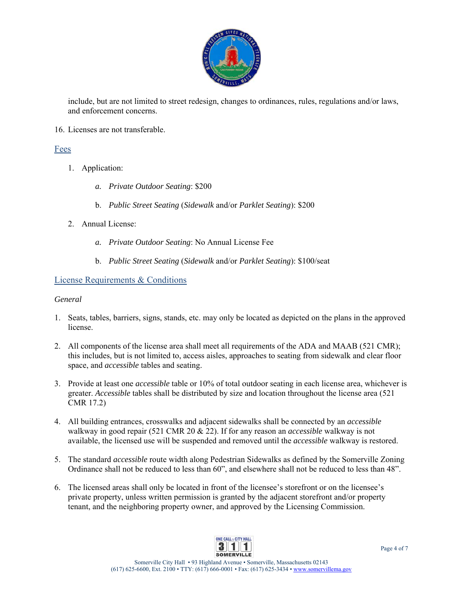

include, but are not limited to street redesign, changes to ordinances, rules, regulations and/or laws, and enforcement concerns.

16. Licenses are not transferable.

### Fees

- 1. Application:
	- *a. Private Outdoor Seating*: \$200
	- b. *Public Street Seating* (*Sidewalk* and/or *Parklet Seating*): \$200
- 2. Annual License:
	- *a. Private Outdoor Seating*: No Annual License Fee
	- b. *Public Street Seating* (*Sidewalk* and/or *Parklet Seating*): \$100/seat

### License Requirements & Conditions

#### *General*

- 1. Seats, tables, barriers, signs, stands, etc. may only be located as depicted on the plans in the approved license.
- 2. All components of the license area shall meet all requirements of the ADA and MAAB (521 CMR); this includes, but is not limited to, access aisles, approaches to seating from sidewalk and clear floor space, and *accessible* tables and seating.
- 3. Provide at least one *accessible* table or 10% of total outdoor seating in each license area, whichever is greater. *Accessible* tables shall be distributed by size and location throughout the license area (521 CMR 17.2)
- 4. All building entrances, crosswalks and adjacent sidewalks shall be connected by an *accessible* walkway in good repair (521 CMR 20 & 22). If for any reason an *accessible* walkway is not available, the licensed use will be suspended and removed until the *accessible* walkway is restored.
- 5. The standard *accessible* route width along Pedestrian Sidewalks as defined by the Somerville Zoning Ordinance shall not be reduced to less than 60", and elsewhere shall not be reduced to less than 48".
- 6. The licensed areas shall only be located in front of the licensee's storefront or on the licensee's private property, unless written permission is granted by the adjacent storefront and/or property tenant, and the neighboring property owner, and approved by the Licensing Commission.

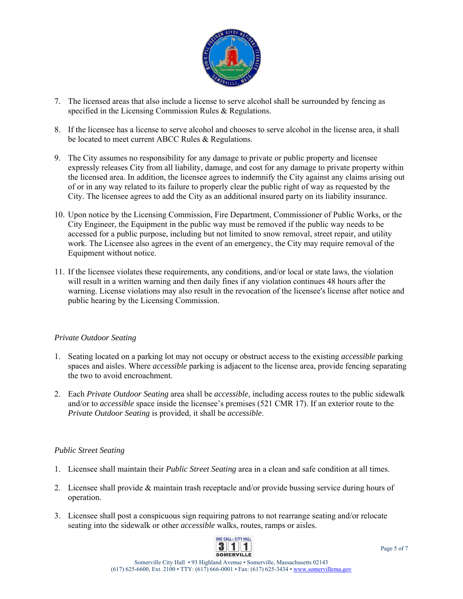

- 7. The licensed areas that also include a license to serve alcohol shall be surrounded by fencing as specified in the Licensing Commission Rules & Regulations.
- 8. If the licensee has a license to serve alcohol and chooses to serve alcohol in the license area, it shall be located to meet current ABCC Rules & Regulations.
- 9. The City assumes no responsibility for any damage to private or public property and licensee expressly releases City from all liability, damage, and cost for any damage to private property within the licensed area. In addition, the licensee agrees to indemnify the City against any claims arising out of or in any way related to its failure to properly clear the public right of way as requested by the City. The licensee agrees to add the City as an additional insured party on its liability insurance.
- 10. Upon notice by the Licensing Commission, Fire Department, Commissioner of Public Works, or the City Engineer, the Equipment in the public way must be removed if the public way needs to be accessed for a public purpose, including but not limited to snow removal, street repair, and utility work. The Licensee also agrees in the event of an emergency, the City may require removal of the Equipment without notice.
- 11. If the licensee violates these requirements, any conditions, and/or local or state laws, the violation will result in a written warning and then daily fines if any violation continues 48 hours after the warning. License violations may also result in the revocation of the licensee's license after notice and public hearing by the Licensing Commission.

#### *Private Outdoor Seating*

- 1. Seating located on a parking lot may not occupy or obstruct access to the existing *accessible* parking spaces and aisles. Where *accessible* parking is adjacent to the license area, provide fencing separating the two to avoid encroachment.
- 2. Each *Private Outdoor Seating* area shall be *accessible*, including access routes to the public sidewalk and/or to *accessible* space inside the licensee's premises (521 CMR 17). If an exterior route to the *Private Outdoor Seating* is provided, it shall be *accessible*.

#### *Public Street Seating*

- 1. Licensee shall maintain their *Public Street Seating* area in a clean and safe condition at all times.
- 2. Licensee shall provide & maintain trash receptacle and/or provide bussing service during hours of operation.
- 3. Licensee shall post a conspicuous sign requiring patrons to not rearrange seating and/or relocate seating into the sidewalk or other *accessible* walks, routes, ramps or aisles.

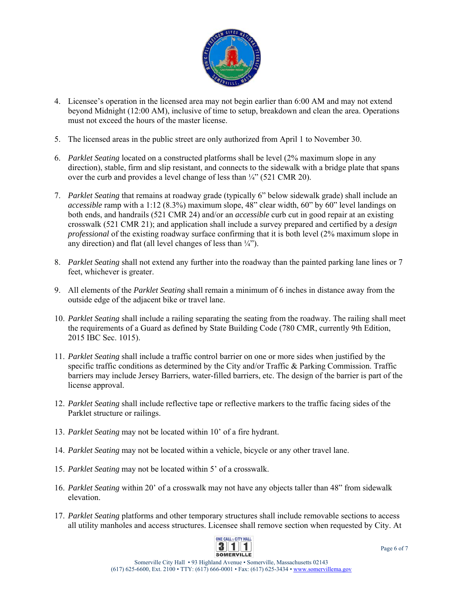

- 4. Licensee's operation in the licensed area may not begin earlier than 6:00 AM and may not extend beyond Midnight (12:00 AM), inclusive of time to setup, breakdown and clean the area. Operations must not exceed the hours of the master license.
- 5. The licensed areas in the public street are only authorized from April 1 to November 30.
- 6. *Parklet Seating* located on a constructed platforms shall be level (2% maximum slope in any direction), stable, firm and slip resistant, and connects to the sidewalk with a bridge plate that spans over the curb and provides a level change of less than  $\frac{1}{4}$  (521 CMR 20).
- 7. *Parklet Seating* that remains at roadway grade (typically 6" below sidewalk grade) shall include an *accessible* ramp with a 1:12 (8.3%) maximum slope, 48" clear width, 60" by 60" level landings on both ends, and handrails (521 CMR 24) and/or an *accessible* curb cut in good repair at an existing crosswalk (521 CMR 21); and application shall include a survey prepared and certified by a *design professional* of the existing roadway surface confirming that it is both level (2% maximum slope in any direction) and flat (all level changes of less than  $\frac{1}{4}$ ").
- 8. *Parklet Seating* shall not extend any further into the roadway than the painted parking lane lines or 7 feet, whichever is greater.
- 9. All elements of the *Parklet Seating* shall remain a minimum of 6 inches in distance away from the outside edge of the adjacent bike or travel lane.
- 10. *Parklet Seating* shall include a railing separating the seating from the roadway. The railing shall meet the requirements of a Guard as defined by State Building Code (780 CMR, currently 9th Edition, 2015 IBC Sec. 1015).
- 11. *Parklet Seating* shall include a traffic control barrier on one or more sides when justified by the specific traffic conditions as determined by the City and/or Traffic & Parking Commission. Traffic barriers may include Jersey Barriers, water-filled barriers, etc. The design of the barrier is part of the license approval.
- 12. *Parklet Seating* shall include reflective tape or reflective markers to the traffic facing sides of the Parklet structure or railings.
- 13. *Parklet Seating* may not be located within 10' of a fire hydrant.
- 14. *Parklet Seating* may not be located within a vehicle, bicycle or any other travel lane.
- 15. *Parklet Seating* may not be located within 5' of a crosswalk.
- 16. *Parklet Seating* within 20' of a crosswalk may not have any objects taller than 48" from sidewalk elevation.
- 17. *Parklet Seating* platforms and other temporary structures shall include removable sections to access all utility manholes and access structures. Licensee shall remove section when requested by City. At